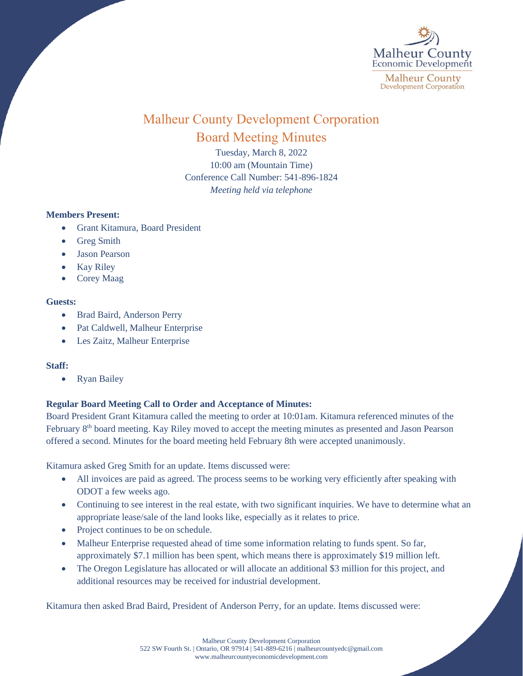

# Malheur County Development Corporation Board Meeting Minutes

Tuesday, March 8, 2022 10:00 am (Mountain Time) Conference Call Number: 541-896-1824 *Meeting held via telephone*

## **Members Present:**

- Grant Kitamura, Board President
- Greg Smith
- Jason Pearson
- Kay Riley
- Corey Maag

#### **Guests:**

- Brad Baird, Anderson Perry
- Pat Caldwell, Malheur Enterprise
- Les Zaitz, Malheur Enterprise

## **Staff:**

• Ryan Bailey

# **Regular Board Meeting Call to Order and Acceptance of Minutes:**

Board President Grant Kitamura called the meeting to order at 10:01am. Kitamura referenced minutes of the February 8th board meeting. Kay Riley moved to accept the meeting minutes as presented and Jason Pearson offered a second. Minutes for the board meeting held February 8th were accepted unanimously.

Kitamura asked Greg Smith for an update. Items discussed were:

- All invoices are paid as agreed. The process seems to be working very efficiently after speaking with ODOT a few weeks ago.
- Continuing to see interest in the real estate, with two significant inquiries. We have to determine what an appropriate lease/sale of the land looks like, especially as it relates to price.
- Project continues to be on schedule.
- Malheur Enterprise requested ahead of time some information relating to funds spent. So far, approximately \$7.1 million has been spent, which means there is approximately \$19 million left.
- The Oregon Legislature has allocated or will allocate an additional \$3 million for this project, and additional resources may be received for industrial development.

Kitamura then asked Brad Baird, President of Anderson Perry, for an update. Items discussed were: